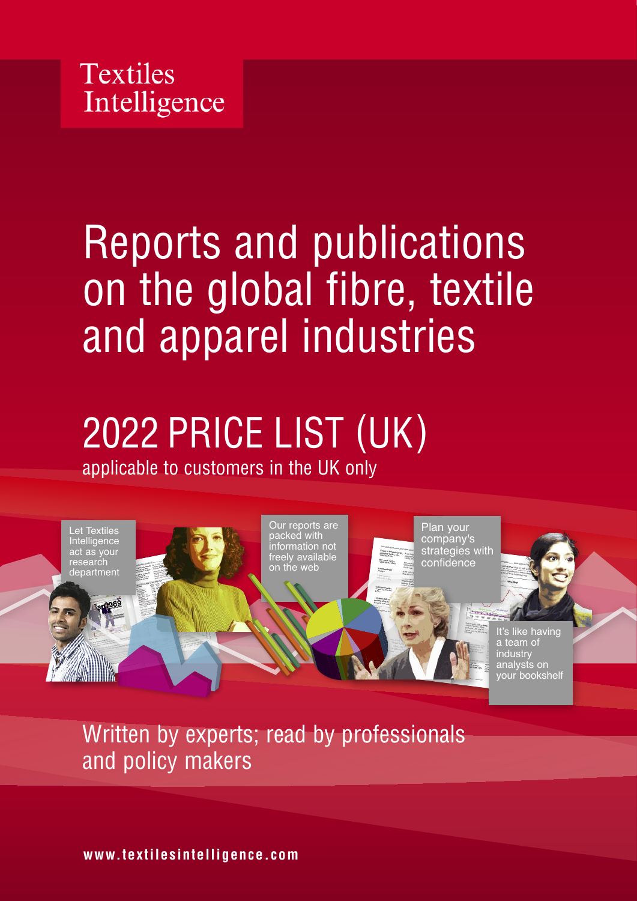

# Reports and publications on the global fibre, textile and apparel industries

## 2022 PRICE LIST (UK) applicable to customers in the UK only



Written by experts; read by professionals and policy makers

**www.textilesintelligence.com**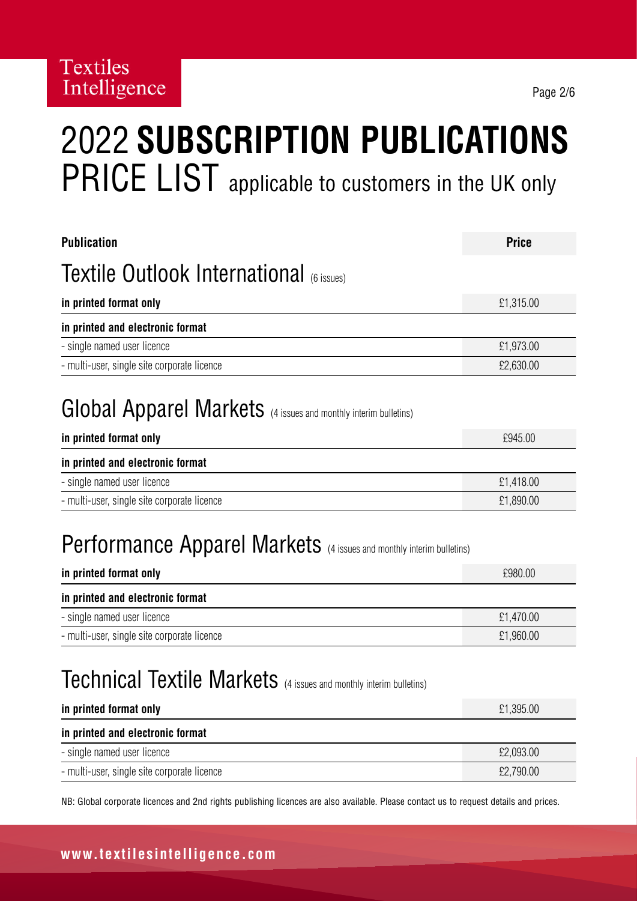# 2022 **SUBSCRIPTION PUBLICATIONS** PRICE LIST applicable to customers in the UK only

| <b>Publication</b>                                                                                    | <b>Price</b> |
|-------------------------------------------------------------------------------------------------------|--------------|
| <b>Textile Outlook International (6 issues)</b>                                                       |              |
| in printed format only                                                                                | £1,315.00    |
| in printed and electronic format                                                                      |              |
| - single named user licence                                                                           | £1,973.00    |
| - multi-user, single site corporate licence                                                           | £2,630.00    |
| <b>Global Apparel Markets</b> (4 issues and monthly interim bulletins)<br>in printed format only      | £945.00      |
| in printed and electronic format                                                                      |              |
| - single named user licence                                                                           | £1,418.00    |
| - multi-user, single site corporate licence                                                           | £1,890.00    |
| <b>Performance Apparel Markets</b> (4 issues and monthly interim bulletins)<br>in printed format only | £980.00      |
| in printed and electronic format                                                                      |              |
| - single named user licence                                                                           | £1,470.00    |
| - multi-user, single site corporate licence                                                           | £1,960.00    |

## Technical Textile Markets (4 issues and monthly interim bulletins)

| in printed format only                      | £1,395.00 |
|---------------------------------------------|-----------|
| in printed and electronic format            |           |
| - single named user licence                 | £2,093.00 |
| - multi-user, single site corporate licence | £2,790.00 |

NB: Global corporate licences and 2nd rights publishing licences are also available. Please contact us to request details and prices.

#### **www.textilesintelligence.com**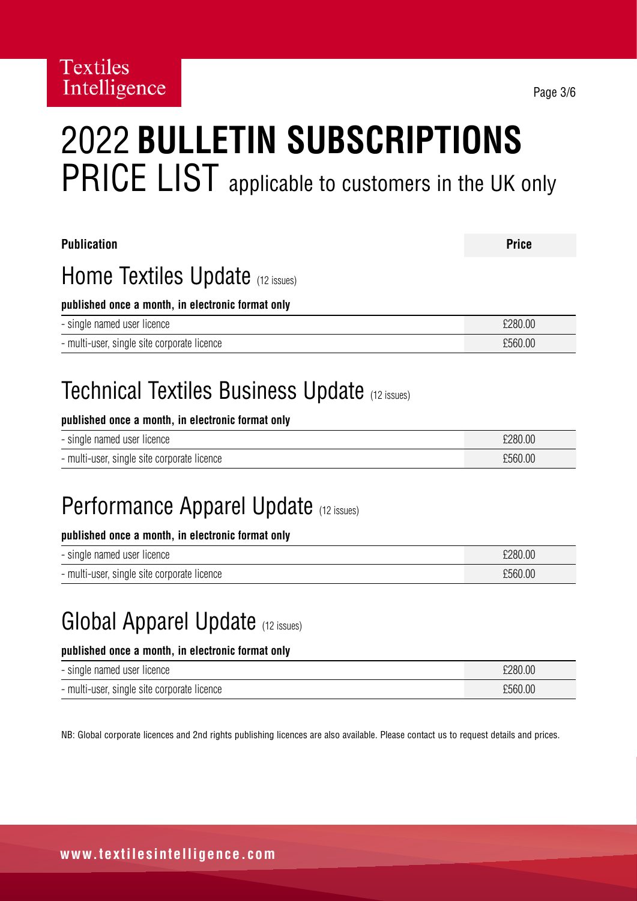# 2022 **BULLETIN SUBSCRIPTIONS** PRICE LIST applicable to customers in the UK only

| <b>Publication</b>                                    | <b>Price</b> |
|-------------------------------------------------------|--------------|
| Home Textiles Update (12 issues)                      |              |
| published once a month, in electronic format only     |              |
| - single named user licence                           | £280.00      |
| - multi-user, single site corporate licence           | £560.00      |
| <b>Technical Textiles Business Update (12 issues)</b> |              |

#### **published once a month, in electronic format only**

| - single named user licence                 | £280.00 |
|---------------------------------------------|---------|
| - multi-user, single site corporate licence | £560.00 |

### Performance Apparel Update (12 issues)

#### **published once a month, in electronic format only**

| - single named user licence                 | £280.00 |
|---------------------------------------------|---------|
| - multi-user, single site corporate licence | £560.00 |

### Global Apparel Update (12 issues)

#### **published once a month, in electronic format only**

| - single named user licence                 | £280.00 |
|---------------------------------------------|---------|
| - multi-user, single site corporate licence | £560.00 |

NB: Global corporate licences and 2nd rights publishing licences are also available. Please contact us to request details and prices.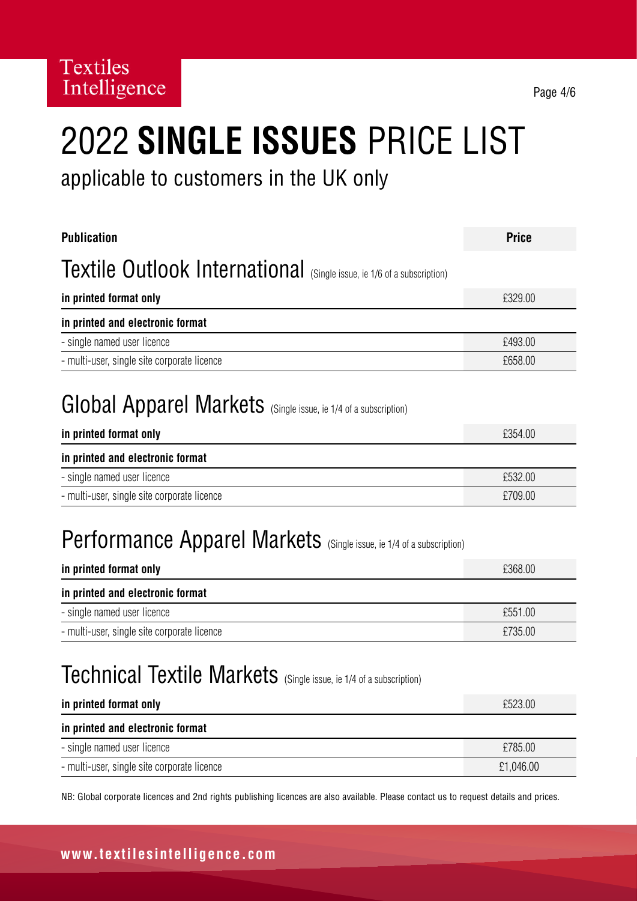# 2022 **SINGLE ISSUES** PRICE LIST

applicable to customers in the UK only

| <b>Publication</b>                                                          | <b>Price</b> |
|-----------------------------------------------------------------------------|--------------|
| Textile Outlook International (Single issue, ie 1/6 of a subscription)      |              |
| in printed format only                                                      | £329.00      |
| in printed and electronic format                                            |              |
| - single named user licence                                                 | £493.00      |
| - multi-user, single site corporate licence                                 | £658.00      |
| Global Apparel Markets (Single issue, ie 1/4 of a subscription)             |              |
| in printed format only                                                      | £354.00      |
| in printed and electronic format                                            |              |
| - single named user licence                                                 | £532.00      |
| - multi-user, single site corporate licence                                 | £709.00      |
| <b>Performance Apparel Markets</b> (Single issue, ie 1/4 of a subscription) |              |
| in printed format only                                                      | £368.00      |
| in printed and electronic format                                            |              |
| - single named user licence                                                 | £551.00      |
| - multi-user, single site corporate licence                                 | £735.00      |
| <b>Technical Textile Markets</b> (Single issue, ie 1/4 of a subscription)   |              |
| in printed format only                                                      | £523.00      |
| in printed and electronic format                                            |              |
| - single named user licence                                                 | £785.00      |
| - multi-user, single site corporate licence                                 | £1,046.00    |

NB: Global corporate licences and 2nd rights publishing licences are also available. Please contact us to request details and prices.

#### **www.textilesintelligence.com**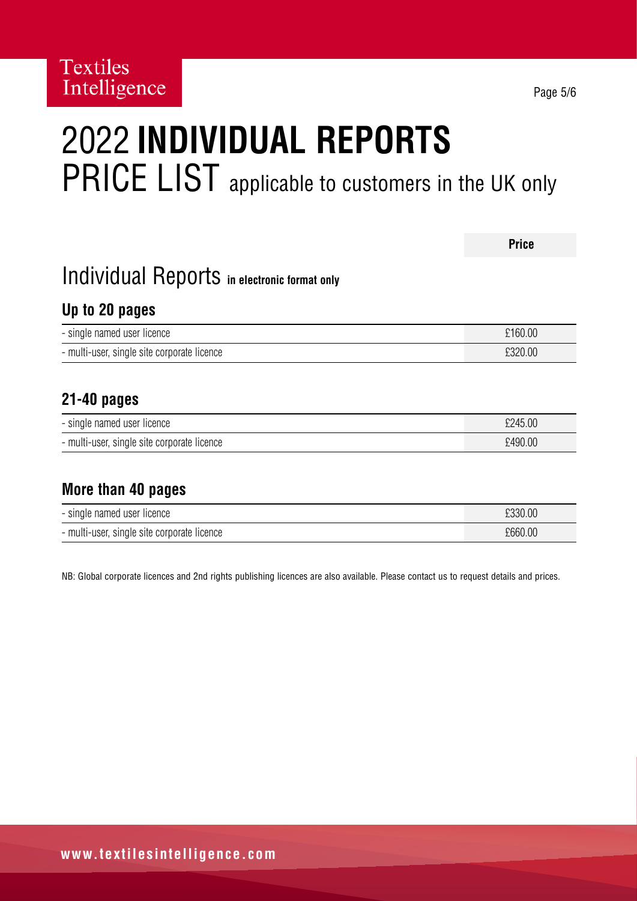# 2022 **INDIVIDUAL REPORTS**  PRICE LIST applicable to customers in the UK only

|                                              | <b>Price</b> |
|----------------------------------------------|--------------|
| Individual Reports in electronic format only |              |
| Up to 20 pages                               |              |
| - single named user licence                  | £160.00      |
| - multi-user, single site corporate licence  | £320.00      |
|                                              |              |
| $21 - 40$ pages                              |              |
| - single named user licence                  | £245.00      |
| - multi-user, single site corporate licence  | £490.00      |
|                                              |              |
| More than 40 pages                           |              |

| - single named user licence                 | £330.00 |
|---------------------------------------------|---------|
| - multi-user, single site corporate licence | £660.00 |

NB: Global corporate licences and 2nd rights publishing licences are also available. Please contact us to request details and prices.